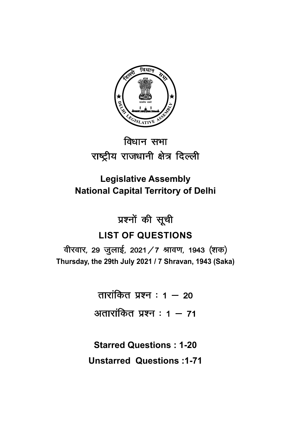

# विधान सभा राष्ट्रीय राजधानी क्षेत्र दिल्ली

**Legislative Assembly National Capital Territory of Delhi**

# प्रश्नों की सूची

**LIST OF QUESTIONS** वीरवार, 29 जुलाई, 2021 / 7 श्रावण, 1943 (शक) **Thursday, the 29th July 2021 / 7 Shravan, 1943 (Saka)**

तारांकित प्रश्न $: 1 - 20$ 

अतारांकित प्रश्न : 1  $-$  71

**Starred Questions : 1-20 Unstarred Questions :1-71**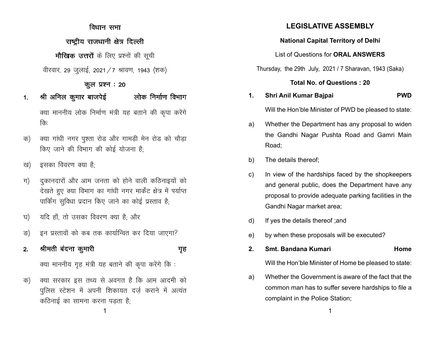# विधान सभा

# राष्टीय राजधानी क्षेत्र दिल्ली

मौखिक उत्तरों के लिए प्रश्नों की सूची

वीरवार, 29 जुलाई, 2021 / 7 श्रावण, 1943 (शक)

# कूल प्रश्न: 20

- लोक निर्माण विभाग श्री अनिल कुमार बाजपेई  $1.$ क्या माननीय लोक निर्माण मंत्री यह बताने की कृपा करेंगे कि:
- क्या गांधी नगर पृश्ता रोड और गामडी मेन रोड को चौडा क) किए जाने की विभाग की कोई योजना है:
- इसका विवरण क्या है; ख)
- दुकानदारों और आम जनता को होने वाली कठिनाइयों को ग) देखते हुए क्या विभाग का गांधी नगर मार्केट क्षेत्र में पर्याप्त पार्किंग सुविधा प्रदान किए जाने का कोई प्रस्ताव है;
- यदि हाँ, तो उसका विवरण क्या है; और घ)
- इन प्रस्तावों को कब तक कार्यान्वित कर दिया जाएगा? ङ)
- श्रीमती बंदना कूमारी  $2.$ गृह

क्या माननीय गृह मंत्री यह बताने की कृपा करेंगे कि :

क्या सरकार इस तथ्य से अवगत है कि आम आदमी को क) पुलिस स्टेशन में अपनी शिकायत दर्जु कराने में अत्यंत कठिनाई का सामना करना पड़ता है;

# **LEGISLATIVE ASSEMBLY**

## **National Capital Territory of Delhi**

List of Questions for **ORAL ANSWERS** 

Thursday, the 29th July, 2021 / 7 Sharavan, 1943 (Saka)

## **Total No. of Questions: 20**

**Shri Anil Kumar Bajpai**  $1.$ **PWD** 

Will the Hon'ble Minister of PWD be pleased to state:

- Whether the Department has any proposal to widen a) the Gandhi Nagar Pushta Road and Gamri Main Road;
- The details thereof: b)
- In view of the hardships faced by the shopkeepers C) and general public, does the Department have any proposal to provide adequate parking facilities in the Gandhi Nagar market area;
- If yes the details thereof ;and d)
- by when these proposals will be executed?  $e)$
- Smt. Bandana Kumari  $2.$ Home

Will the Hon'ble Minister of Home be pleased to state:

Whether the Government is aware of the fact that the a) common man has to suffer severe hardships to file a complaint in the Police Station;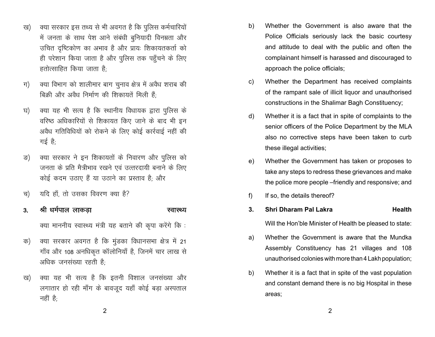- क्या सरकार इस तथ्य से भी अवगत है कि पुलिस कर्मचारियों ख) में जनता के साथ पेश आने संबंधी बुनियादी विनम्रता और उचित दृष्टिकोण का अभाव है और प्रायः शिकायतकर्ता को ही परेशान किया जाता है और पुलिस तक पहुँचने के लिए  $\overline{\epsilon}$ तोत्साहित किया जाता है:
- क्या विभाग को शालीमार बाग चुनाव क्षेत्र में अवैध शराब की ग $\big)$ बिक्री और अवैध निर्माण की शिकायतें मिली हैं-
- क्या यह भी सत्य है कि स्थानीय विधायक द्वारा पुलिस के घ) वरिष्ठ अधिकारियों से शिकायत किए जाने के बाद भी इन अवैध गतिविधियों को रोकने के लिए कोई कार्रवाई नहीं की गई है:
- क्या सरकार ने इन शिकायतों के निवारण और पुलिस को ङ) जनता के प्रति मैत्रीभाव रखने एवं उत्तरदायी बनाने के लिए कोई कदम उठाए हैं या उठाने का प्रस्ताव है; और
- यदि हाँ, तो उसका विवरण क्या है? च)
- श्री धर्मपाल लाकडा  $3.$ स्वास्थ्य

क्या माननीय स्वास्थ्य मंत्री यह बताने की कृपा करेंगे कि :

- क्या सरकार अवगत है कि मुंडका विधानसभा क्षेत्र में 21 क) गाँव और 108 अनधिकृत कॉलोनियाँ है, जिनमें चार लाख से अधिक जनसंख्या रहती है:
- क्या यह भी सत्य है कि इतनी विशाल जनसंख्या और ख) लगातार हो रही माँग के बावजूद यहाँ कोई बड़ा अस्पताल नहीं है:
- Whether the Government is also aware that the b) Police Officials seriously lack the basic courtesy and attitude to deal with the public and often the complainant himself is harassed and discouraged to approach the police officials;
- Whether the Department has received complaints C) of the rampant sale of illicit liquor and unauthorised constructions in the Shalimar Bagh Constituency;
- Whether it is a fact that in spite of complaints to the d) senior officers of the Police Department by the MLA also no corrective steps have been taken to curb these illegal activities;
- Whether the Government has taken or proposes to  $e)$ take any steps to redress these grievances and make the police more people -friendly and responsive; and
- If so, the details thereof? f)
- **Shri Dharam Pal Lakra**  $3<sub>-</sub>$ **Health**

Will the Hon'ble Minister of Health be pleased to state:

- Whether the Government is aware that the Mundka a) Assembly Constituency has 21 villages and 108 unauthorised colonies with more than 4 Lakh population;
- Whether it is a fact that in spite of the vast population b) and constant demand there is no big Hospital in these areas;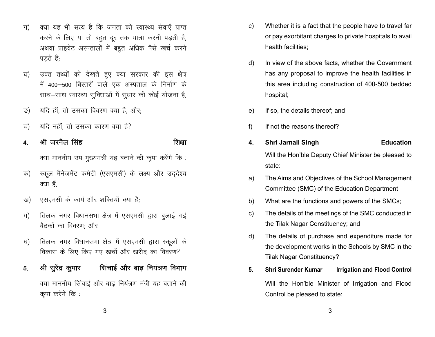- क्या यह भी सत्य है कि जनता को स्वास्थ्य सेवाएँ प्राप्त ग) करने के लिए या तो बहुत दूर तक यात्रा करनी पड़ती है, अथवा प्राइवेट अस्पतालों में बहुत अधिक पैसे खर्च करने पडते हैं:
- उक्त तथ्यों को देखते हुए क्या सरकार की इस क्षेत्र घ) में 400–500 बिस्तरों वाले एक अस्पताल के निर्माण के साथ-साथ स्वास्थ्य सुविधाओं में सुधार की कोई योजना है;
- यदि हाँ, तो उसका विवरण क्या है, और र्डो
- यदि नहीं तो उसका कारण क्या है? च)
- श्री जरनैल सिंह शिक्षा  $\overline{\mathbf{4}}$

क्या माननीय उप मुख्यमंत्री यह बताने की कृपा करेंगे कि:

- स्कूल मैनेजमेंट कमेटी (एसएमसी) के लक्ष्य और उददेश्य क) क्या हैं:
- एसएमसी के कार्य और शक्तियाँ क्या है: ख)
- तिलक नगर विधानसभा क्षेत्र में एसएमसी द्वारा बुलाई गई ग) बैठकों का विवरण: और
- तिलक नगर विधानसभा क्षेत्र में एसएमसी द्वारा स्कूलों के घ) विकास के लिए किए गए खर्चों और खरीद का विवरण?

#### सिंचाई और बाढ़ नियंत्रण विभाग श्री सूरेंद्र कूमार 5.

क्या माननीय सिंचाई और बाढ नियंत्रण मंत्री यह बताने की कृपा करेंगे कि :

- Whether it is a fact that the people have to travel far C) or pay exorbitant charges to private hospitals to avail health facilities;
- In view of the above facts, whether the Government d) has any proposal to improve the health facilities in this area including construction of 400-500 bedded hospital;
- If so, the details thereof: and  $e)$
- If not the reasons thereof?  $f$
- **Shri Jarnail Singh Education** 4. Will the Hon'ble Deputy Chief Minister be pleased to state:
- The Aims and Objectives of the School Management a) Committee (SMC) of the Education Department
- What are the functions and powers of the SMCs; b)
- The details of the meetings of the SMC conducted in C) the Tilak Nagar Constituency; and
- The details of purchase and expenditure made for d) the development works in the Schools by SMC in the **Tilak Nagar Constituency?**
- **Shri Surender Kumar Irrigation and Flood Control**  $5<sub>1</sub>$

Will the Hon'ble Minister of Irrigation and Flood Control be pleased to state: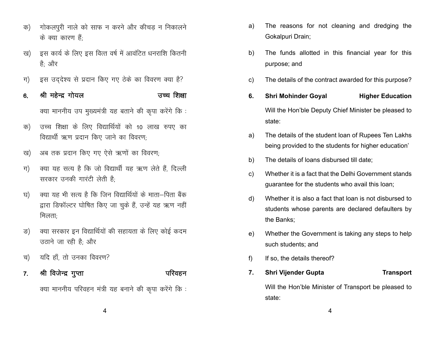- गोकलपूरी नाले को साफ न करने और कीचड न निकालने क) के क्या कारण हैं
- इस कार्य के लिए इस वित्त वर्ष में आवंटित धनराशि कितनी ख) है; और
- इस उददेश्य से प्रदान किए गए ठेके का विवरण क्या है? ग)
- श्री महेन्द्र गोयल उच्च शिक्षा 6. क्या माननीय उप मुख्यमंत्री यह बताने की कृपा करेंगे कि:
- उच्च शिक्षा के लिए विद्यार्थियों को 10 लाख रुपए का क) विद्यार्थी ऋण प्रदान किए जाने का विवरण:
- अब तक प्रदान किए गए ऐसे ऋणों का विवरण: ख)
- क्या यह सत्य है कि जो विद्यार्थी यह ऋण लेते हैं. दिल्ली ग) सरकार उनकी गारंटी लेती है:
- क्या यह भी सत्य है कि जिन विद्यार्थियों के माता–पिता बैंक ਬ) द्वारा डिफॉल्टर घोषित किए जा चुके हैं, उन्हें यह ऋण नहीं मिलता;
- क्या सरकार इन विद्यार्थियों की सहायता के लिए कोई कदम ङ) उठाने जा रही है: और
- यदि हाँ, तो उनका विवरण? च)
- श्री विजेन्द्र गुप्ता परिवहन  $7.$

क्या माननीय परिवहन मंत्री यह बनाने की कृपा करेंगे कि :

- The reasons for not cleaning and dredging the a) Gokalpuri Drain;
- The funds allotted in this financial year for this b) purpose; and
- The details of the contract awarded for this purpose?  $\mathbf{C}$
- **Shri Mohinder Goval Higher Education** 6.

Will the Hon'ble Deputy Chief Minister be pleased to state:

- The details of the student loan of Rupees Ten Lakhs a) being provided to the students for higher education'
- The details of loans disbursed till date; b)
- Whether it is a fact that the Delhi Government stands  $\mathsf{C}$ guarantee for the students who avail this loan;
- $\mathsf{d}$ Whether it is also a fact that loan is not disbursed to students whose parents are declared defaulters by the Banks;
- Whether the Government is taking any steps to help  $e)$ such students; and
- If so, the details thereof? f)
- **Shri Vijender Gupta Transport**  $\overline{7}$ .

Will the Hon'ble Minister of Transport be pleased to state: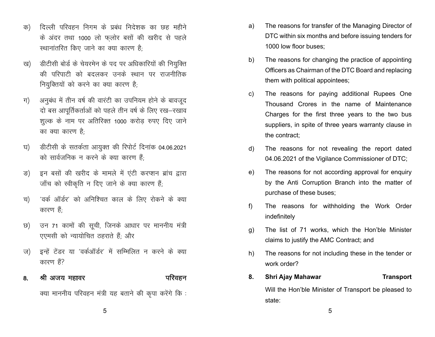- दिल्ली परिवहन निगम के प्रबंध निदेशक का छह महीने क) के अंदर तथा 1000 लो फलोर बसों की खरीद से पहले स्थानांतरित किए जाने का क्या कारण है:
- डीटीसी बोर्ड के चेयरमेन के पद पर अधिकारियों की नियुक्ति ख) की परिपाटी को बदलकर उनके स्थान पर राजनीतिक नियुक्तियों को करने का क्या कारण है;
- अनुबंध में तीन वर्ष की वारंटी का उपनियम होने के बावजुद ग) दो बस आपूर्तिकर्ताओं को पहले तीन वर्ष के लिए रख–रखाव शुल्क के नाम पर अतिरिक्त 1000 करोड रुपए दिए जाने का क्या कारण है:
- डीटीसी के सतर्कता आयुक्त की रिपोर्ट दिनांक 04.06.2021 घ) को सार्वजनिक न करने के क्या कारण हैं
- इन बसों की खरीद के मामले में एंटी करप्शन ब्रांच द्वारा रङ) जाँच को स्वीकृति न दिए जाने के क्या कारण हैं;
- 'वर्क ऑर्डर' को अनिश्चित काल के लिए रोकने के क्या च) कारण हैं-
- उन 71 कामों की सूची, जिनके आधार पर माननीय मंत्री ত) एएमसी को न्यायोचित ठहराते हैं: और
- इन्हें टेंडर या 'वर्कऑर्डर' में सम्मिलित न करने के क्या ज) कारण हैं?
- श्री अजय महावर परिवहन 8.

क्या माननीय परिवहन मंत्री यह बताने की कृपा करेंगे कि:

- The reasons for transfer of the Managing Director of a) DTC within six months and before issuing tenders for 1000 low floor buses:
- The reasons for changing the practice of appointing b) Officers as Chairman of the DTC Board and replacing them with political appointees;
- The reasons for paying additional Rupees One C) Thousand Crores in the name of Maintenance Charges for the first three years to the two bus suppliers, in spite of three years warranty clause in the contract;
- d) The reasons for not revealing the report dated 04.06.2021 of the Vigilance Commissioner of DTC;
- The reasons for not according approval for enquiry e) by the Anti Corruption Branch into the matter of purchase of these buses;
- The reasons for withholding the Work Order  $f$ indefinitely
- The list of 71 works, which the Hon'ble Minister g) claims to justify the AMC Contract; and
- The reasons for not including these in the tender or h) work order?
- 8. Shri Ajay Mahawar **Transport**

Will the Hon'ble Minister of Transport be pleased to state: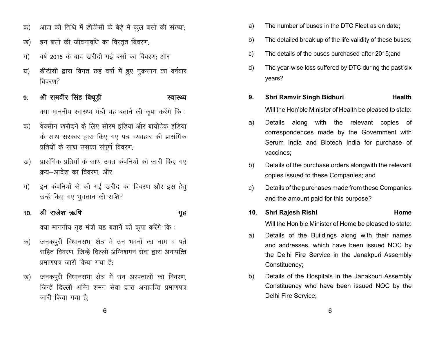- आज की तिथि में डीटीसी के बेडे में कूल बसों की संख्या; क)
- इन बसों की जीवनावधि का विस्तत विवरण: ख)
- वर्ष 2015 के बाद खरीदी गई बसों का विवरण; और ग)
- डीटीसी द्वारा विगत छह वर्षों में हुए नुकसान का वर्षवार घ) विवरण?

श्री रामवीर सिंह बिधूड़ी 9. स्वास्थ्य क्या माननीय स्वास्थ्य मंत्री यह बताने की कृपा करेंगे कि :

- वैक्सीन खरीदने के लिए सीरम इंडिया और बायोटेक इंडिया क) के साथ सरकार द्वारा किए गए पत्र–व्यवहार की प्रासंगिक प्रतियों के साथ उसका संपूर्ण विवरण;
- प्रासंगिक प्रतियों के साथ उक्त कंपनियों को जारी किए गए ख) क्रय-आदेश का विवरण: और
- इन कंपनियों से की गई खरीद का विवरण और इस हेत् ग) उन्हें किए गए भुगतान की राशि?

### श्री राजेश ऋषि  $10<sub>1</sub>$ गृह

क्या माननीय गृह मंत्री यह बताने की कृपा करेंगे कि :

- जनकपुरी विधानसभा क्षेत्र में उन भवनों का नाम व पते क) सहित विवरण, जिन्हें दिल्ली अग्निशमन सेवा द्वारा अनापत्ति प्रमाणपत्र जारी किया गया है
- जनकपूरी विधानसभा क्षेत्र में उन अस्पतालों का विवरण, ख) जिन्हें दिल्ली अग्नि शमन सेवा द्वारा अनापत्ति प्रमाणपत्र जारी किया गया है:
- The number of buses in the DTC Fleet as on date; a)
- The detailed break up of the life validity of these buses; b)
- The details of the buses purchased after 2015;and  $\mathsf{c}$
- The year-wise loss suffered by DTC during the past six d) years?

#### 9. **Shri Ramvir Singh Bidhuri Health**

Will the Hon'ble Minister of Health be pleased to state:

- Details along with the relevant copies of a) correspondences made by the Government with Serum India and Biotech India for purchase of vaccines:
- Details of the purchase orders alongwith the relevant b) copies issued to these Companies; and
- Details of the purchases made from these Companies  $\mathbf{C}$ and the amount paid for this purpose?
- Shri Rajesh Rishi Home 10.

Will the Hon'ble Minister of Home be pleased to state:

- Details of the Buildings along with their names a) and addresses, which have been issued NOC by the Delhi Fire Service in the Janakpuri Assembly Constituency;
- Details of the Hospitals in the Janakpuri Assembly b) Constituency who have been issued NOC by the Delhi Fire Service: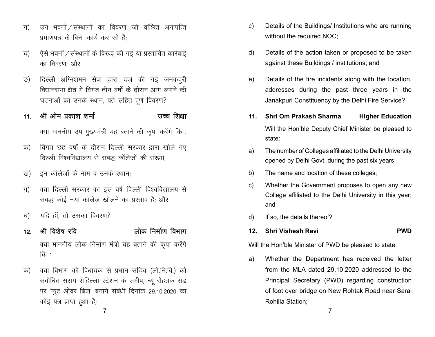- उन भवनों / संस्थानों का विवरण जो वांछित अनापत्ति ग) प्रमाणपत्र के बिना कार्य कर रहे हैं
- ऐसे भवनों / संस्थानों के विरुद्ध की गई या प्रस्तावित कार्रवाई घ) का विवरण: और
- दिल्ली अग्निशमन सेवा द्वारा दर्ज की गई जनकपुरी ङ) विधानसभा क्षेत्र में विगत तीन वर्षों के दौरान आग लगने की घटनाओं का उनके स्थान, पते सहित पूर्ण विवरण?
- श्री ओम प्रकाश शर्मा उच्च शिक्षा  $11<sub>1</sub>$

क्या माननीय उप मुख्यमंत्री यह बताने की कृपा करेंगे कि:

- विगत छह वर्षों के दौरान दिल्ली सरकार द्वारा खोले गए क) दिल्ली विश्वविद्यालय से संबद्ध कॉलेजों की संख्या:
- इन कॉलेजों के नाम व उनके स्थान<sup>.</sup> ख)
- क्या दिल्ली सरकार का इस वर्ष दिल्ली विश्वविद्यालय से  $\pi$ ) संबद्ध कोई नया कॉलेज खोलने का प्रस्ताव है: और
- यदि हाँ, तो उसका विवरण? घ)
- श्री विशेष रवि लोक निर्माण विभाग  $12<sub>1</sub>$ क्या माननीय लोक निर्माण मंत्री यह बताने की कृपा करेंगे कि :
- क्या विभाग को विधायक से प्रधान सचिव (लो.नि.वि.) को क) संबोधित सराय रोहिल्ला स्टेशन के समीप, न्यू रोहतक रोड पर 'फूट ओवर ब्रिज' बनाने संबंधी दिनांक 29.10.2020 का कोई पत्र प्राप्त हुआ है;
- Details of the Buildings/ Institutions who are running C) without the required NOC:
- Details of the action taken or proposed to be taken  $d)$ against these Buildings / institutions; and
- Details of the fire incidents along with the location,  $e)$ addresses during the past three years in the Janakpuri Constituency by the Delhi Fire Service?
- 11. Shri Om Prakash Sharma **Higher Education** Will the Hon'ble Deputy Chief Minister be pleased to state:
- The number of Colleges affiliated to the Delhi University a) opened by Delhi Govt. during the past six years;
- The name and location of these colleges; b)
- Whether the Government proposes to open any new C) College affiliated to the Delhi University in this year; and
- If so, the details thereof? d)
- 12. Shri Vishesh Ravi **PWD**

Will the Hon'ble Minister of PWD be pleased to state:

Whether the Department has received the letter a) from the MLA dated 29.10.2020 addressed to the Principal Secretary (PWD) regarding construction of foot over bridge on New Rohtak Road near Sarai Rohilla Station: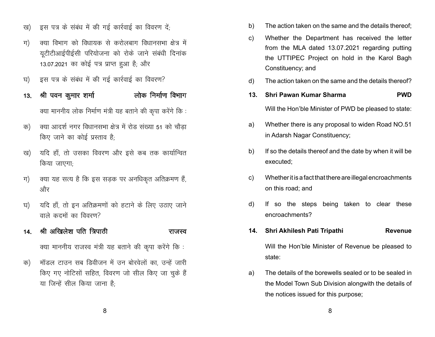- इस पत्र के संबंध में की गई कार्रवाई का विवरण दें; ख)
- क्या विभाग को विधायक से करोलबाग विधानसभा क्षेत्र में ग) यटीटीआईपीईसी परियोजना को रोके जाने संबंधी दिनांक 13.07.2021 का कोई पत्र प्राप्त हुआ है; और
- इस पत्र के संबंध में की गई कार्रवाई का विवरण? ਬ)
- लोक निर्माण विभाग श्री पवन कुमार शर्मा  $13.$

क्या माननीय लोक निर्माण मंत्री यह बताने की कृपा करेंगे कि:

- क्या आदर्श नगर विधानसभा क्षेत्र में रोड संख्या 51 को चौड़ा क) किए जाने का कोई प्रस्ताव है:
- यदि हाँ, तो उसका विवरण और इसे कब तक कार्यान्वित ख) किया जाएगा:
- क्या यह सत्य है कि इस सड़क पर अनधिकृत अतिक्रमण हैं, ग) और
- यदि हाँ, तो इन अतिक्रमणों को हटाने के लिए उठाए जाने घ) वाले कदमों का विवरण?
- श्री अखिलेश पति त्रिपाठी  $14$ राजस्व

क्या माननीय राजस्व मंत्री यह बताने की कृपा करेंगे कि :

मॉडल टाउन सब डिवीजन में उन बोरवेलों का, उन्हें जारी क) किए गए नोटिसों सहित, विवरण जो सील किए जा चुके हैं या जिन्हें सील किया जाना है;

- The action taken on the same and the details thereof; b)
- Whether the Department has received the letter C) from the MLA dated 13.07.2021 regarding putting the UTTIPEC Project on hold in the Karol Bagh Constituency; and
- The action taken on the same and the details thereof?  $d)$
- 13. Shri Pawan Kumar Sharma **PWD**

Will the Hon'ble Minister of PWD be pleased to state:

- Whether there is any proposal to widen Road NO.51 a) in Adarsh Nagar Constituency;
- If so the details thereof and the date by when it will be b) executed;
- Whether it is a fact that there are illegal encroachments  $\mathsf{C}$ on this road; and
- If so the steps being taken to clear these d) encroachments?
- 14. Shri Akhilesh Pati Tripathi **Revenue**

Will the Hon'ble Minister of Revenue be pleased to state:

The details of the borewells sealed or to be sealed in a) the Model Town Sub Division alongwith the details of the notices issued for this purpose;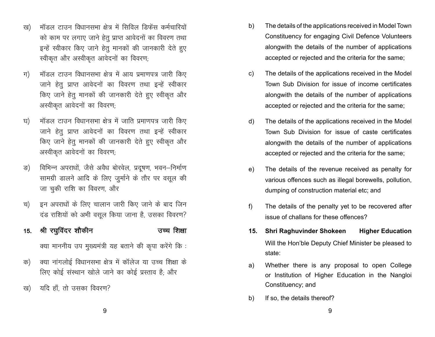- मॉडल टाउन विधानसभा क्षेत्र में सिविल डिफेंस कर्मचारियों ख) को काम पर लगाए जाने हेतू प्राप्त आवेदनों का विवरण तथा इन्हें स्वीकार किए जाने हेतू मानकों की जानकारी देते हुए स्वीकृत और अस्वीकृत आवेदनों का विवरण;
- मॉडल टाउन विधानसभा क्षेत्र में आय प्रमाणपत्र जारी किए ग) जाने हेतु प्राप्त आवेदनों का विवरण तथा इन्हें स्वीकार किए जाने हेतु मानकों की जानकारी देते हुए स्वीकृत और अस्वीकृत आवेदनों का विवरण;
- मॉडल टाउन विधानसभा क्षेत्र में जाति प्रमाणपत्र जारी किए घ) जाने हेतु प्राप्त आवेदनों का विवरण तथा इन्हें स्वीकार किए जाने हेतू मानकों की जानकारी देते हुए स्वीकृत और अस्वीकृत आवेदनों का विवरण;
- विभिन्न अपराधों, जैसे अवैध बोरवेल, प्रदुषण, भवन-निर्माण ङ) सामग्री डालने आदि के लिए जुर्माने के तौर पर वसुल की जा चुकी राशि का विवरण, और
- इन अपराधों के लिए चालान जारी किए जाने के बाद जिन च) दंड राशियों को अभी वसूल किया जाना है, उसका विवरण?
- श्री रघूविंदर शौकीन उच्च शिक्षा  $15.$

क्या माननीय उप मुख्यमंत्री यह बताने की कृपा करेंगे कि:

- क्या नांगलोई विधानसभा क्षेत्र में कॉलेज या उच्च शिक्षा के क) लिए कोई संस्थान खोले जाने का कोई प्रस्ताव है; और
- यदि हाँ, तो उसका विवरण? ख)
- The details of the applications received in Model Town b) Constituency for engaging Civil Defence Volunteers alongwith the details of the number of applications accepted or rejected and the criteria for the same;
- The details of the applications received in the Model  $\mathbf{C}$ Town Sub Division for issue of income certificates alongwith the details of the number of applications accepted or rejected and the criteria for the same;
- The details of the applications received in the Model d) Town Sub Division for issue of caste certificates alongwith the details of the number of applications accepted or rejected and the criteria for the same;
- The details of the revenue received as penalty for e) various offences such as illegal borewells, pollution, dumping of construction material etc; and
- The details of the penalty yet to be recovered after  $f)$ issue of challans for these offences?
- **Shri Raghuvinder Shokeen Higher Education** 15. Will the Hon'ble Deputy Chief Minister be pleased to state:
- Whether there is any proposal to open College a) or Institution of Higher Education in the Nangloi Constituency; and
- If so, the details thereof? b)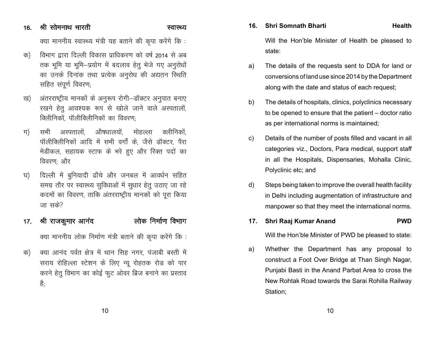### श्री सोमनाथ भारती  $16.$

स्वास्थ्य

क्या माननीय स्वास्थ्य मंत्री यह बताने की कृपा करेंगे कि:

- विभाग द्वारा दिल्ली विकास प्राधिकरण को वर्ष 2014 से अब क) तक भूमि या भूमि-प्रयोग में बदलाव हेतू भेजे गए अनुरोधों का उनके दिनांक तथा प्रत्येक अनुरोध की अद्यतन स्थिति सहित संपूर्ण विवरण:
- अंतरराष्ट्रीय मानकों के अनुरूप रोगी-डॉक्टर अनुपात बनाए ख) रखने हेतू आवश्यक रूप से खोले जाने वाले अस्पतालों, क्लीनिकों, पॉलीक्लीनिकों का विवरण
- सभी अस्पतालों औषधालयों मोहल्ला क्लीनिकों ग) पॉलीक्लिनिकों आदि में सभी वर्गों के, जैसे डॉक्टर, पैरा मेडीकल, सहायक स्टाफ के भरे हुए और रिक्त पदों का विवरण: और
- दिल्ली में बुनियादी ढाँचे और जनबल में आवर्धन सहित घ) समग्र तौर पर स्वास्थ्य सुविधाओं में सुधार हेतु उठाए जा रहे कदमों का विवरण, ताकि अंतरराष्ट्रीय मानकों को पूरा किया जा सके?

### श्री राजकूमार आनंद लोक निर्माण विभाग  $17.$

क्या माननीय लोक निर्माण मंत्री बताने की कृपा करेंगे कि:

क्या आनंद पर्वत क्षेत्र में थान सिंह नगर पंजाबी बस्ती में क) सराय रोहिल्ला स्टेशन के लिए न्यू रोहतक रोड को पार करने हेतु विभाग का कोई फुट ओवर ब्रिज बनाने का प्रस्ताव है;

Will the Hon'ble Minister of Health be pleased to state:

The details of the requests sent to DDA for land or a) conversions of land use since 2014 by the Department along with the date and status of each request;

16. Shri Somnath Bharti

- The details of hospitals, clinics, polyclinics necessary  $b)$ to be opened to ensure that the patient – doctor ratio as per international norms is maintained;
- Details of the number of posts filled and vacant in all  $\mathbf{C}$ categories viz., Doctors, Para medical, support staff in all the Hospitals, Dispensaries, Mohalla Clinic, Polyclinic etc; and
- Steps being taken to improve the overall health facility d) in Delhi including augmentation of infrastructure and manpower so that they meet the international norms.
- Shri Raaj Kumar Anand **PWD** 17.

Will the Hon'ble Minister of PWD be pleased to state:

Whether the Department has any proposal to a) construct a Foot Over Bridge at Than Singh Nagar, Punjabi Basti in the Anand Parbat Area to cross the New Rohtak Road towards the Sarai Rohilla Railway Station:

# **Health**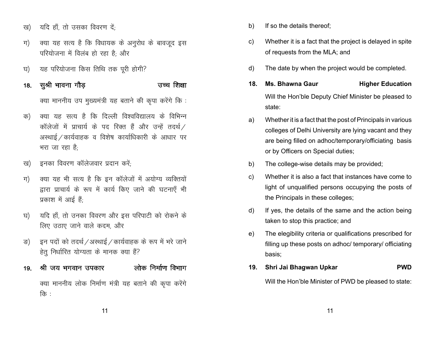- यदि हाँ, तो उसका विवरण दें: ख)
- क्या यह सत्य है कि विधायक के अनुरोध के बावजुद इस ग) परियोजना में विलंब हो रहा है<sup>.</sup> और
- यह परियोजना किस तिथि तक पूरी होगी? घ)
- सूश्री भावना गौड़ उच्च शिक्षा 18.

क्या माननीय उप मुख्यमंत्री यह बताने की कृपा करेंगे कि:

- क्या यह सत्य है कि दिल्ली विश्वविद्यालय के विभिन्न क) कॉलेजों में प्राचार्य के पद रिक्त हैं और उन्हें तदर्थ/ अस्थाई / कार्यवाहक व विशेष कार्याधिकारी के आधार पर भराजा रहा है:
- इनका विवरण कॉलेजवार प्रदान करें: ख)
- क्या यह भी सत्य है कि इन कॉलेजों में अयोग्य व्यक्तियों ग) द्वारा प्राचार्य के रूप में कार्य किए जाने की घटनाएँ भी प्रकाश में आई हैं:
- यदि हाँ, तो उनका विवरण और इस परिपाटी को रोकने के घ) लिए उठाए जाने वाले कदम, और
- इन पदों को तदर्थ /अस्थाई / कार्यवाहक के रूप में भरे जाने ङ) हेतू निर्धारित योग्यता के मानक क्या हैं?
- लोक निर्माण विभाग श्री जय भगवान उपकार 19.

क्या माननीय लोक निर्माण मंत्री यह बताने की कृपा करेंगे कि :

- If so the details thereof; b)
- Whether it is a fact that the project is delayed in spite C) of requests from the MLA; and
- The date by when the project would be completed. d)
- Ms. Bhawna Gaur **Higher Education** 18. Will the Hon'ble Deputy Chief Minister be pleased to state:
- Whether it is a fact that the post of Principals in various a) colleges of Delhi University are lying vacant and they are being filled on adhoc/temporary/officiating basis or by Officers on Special duties;
- The college-wise details may be provided; b)
- $\mathbf{C}$ Whether it is also a fact that instances have come to light of unqualified persons occupying the posts of the Principals in these colleges;
- If yes, the details of the same and the action being d) taken to stop this practice; and
- The elegibility criteria or qualifications prescribed for  $e)$ filling up these posts on adhoc/ temporary/ officiating basis:
- 19. Shri Jai Bhagwan Upkar **PWD**

Will the Hon'ble Minister of PWD be pleased to state: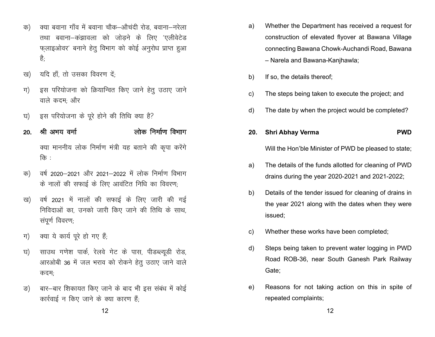- क) क्या बवाना गाँव में बवाना चौक–ओचंदी रोड, बवाना–नरेला तथा बवाना-कंझावला को जोडने के लिए 'एलीवेटेड फलाइओवर' बनाने हेतु विभाग को कोई अनुरोध प्राप्त हुआ है;
- ख) यदि हाँ, तो उसका विवरण दें:
- ग) इस परियोजना को क्रियान्वित किए जाने हेतु उठाए जाने वाले कदम $\cdot$  और
- घ) इस परियोजना के पूरे होने की तिथि क्या है?
- 20. श्री अभय वर्मा का बाद कोक निर्माण विभाग क्या माननीय लोक निर्माण मंत्री यह बताने की कुपा करेंगे  $\theta$
- क) वर्ष 2020–2021 और 2021–2022 में लोक निर्माण विभाग के नालों की सफाई के लिए आवंटित निधि का विवरण:
- ख) वर्ष 2021 में नालों की सफाई के लिए जारी की गई निविदाओं का, उनको जारी किए जाने की तिथि के साथ. संपूर्ण विवरण:
- $\overline{\mathbf{u}}$ ) क्या ये कार्य पूरे हो गए हैं;
- घ) साउथ गणेश पार्क, रेलवे गेट के पास, पीडब्ल्युडी रोड, आरओबी 36 में जल भराव को रोकने हेतु उठाए जाने वाले कदम:
- ङ) बार-बार शिकायत किए जाने के बाद भी इस संबंध में कोई कार्रवाई न किए जाने के क्या कारण हैं;
- a) Whether the Department has received a request for construction of elevated flyover at Bawana Village connecting Bawana Chowk-Auchandi Road, Bawana – Narela and Bawana-Kanjhawla;
- b) If so, the details thereof;
- c) The steps being taken to execute the project; and
- d) The date by when the project would be completed?
- **20. Shri Abhay Verma PWD**

Will the Hon'ble Minister of PWD be pleased to state;

- a) The details of the funds allotted for cleaning of PWD drains during the year 2020-2021 and 2021-2022;
- b) Details of the tender issued for cleaning of drains in the year 2021 along with the dates when they were issued;
- c) Whether these works have been completed;
- d) Steps being taken to prevent water logging in PWD Road ROB-36, near South Ganesh Park Railway Gate;
- e) Reasons for not taking action on this in spite of repeated complaints;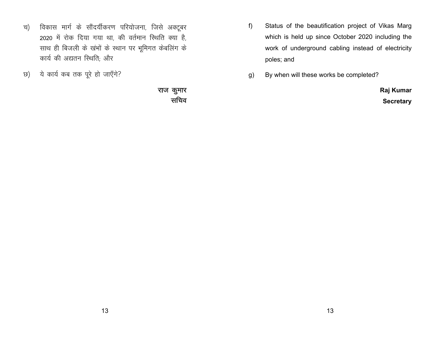- च) विकास मार्ग के सौंदर्यीकरण परियोजना, जिसे अक्टूबर 2020 में रोक दिया गया था, की वर्तमान स्थिति क्या है, साथ ही बिजली के खंभों के स्थान पर भूमिगत केबलिंग के कार्य की अद्यतन स्थिति; और
- छ) ये कार्य कब तक पूरे हो जाएँगे?

राज कुमार सचिव

- f) Status of the beautification project of Vikas Marg which is held up since October 2020 including the work of underground cabling instead of electricity poles; and
- g) By when will these works be completed?

**Raj Kumar Secretary**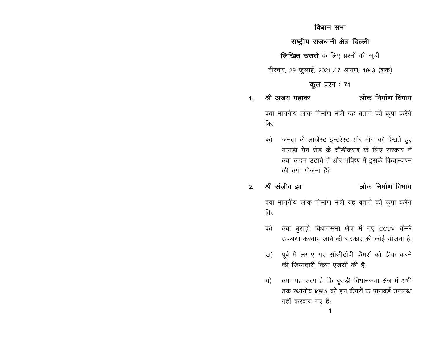# विधान सभा

# राष्ट्रीय राजधानी क्षेत्र दिल्ली

लिखित उत्तरों के लिए प्रश्नों की सूची

वीरवार, 29 जुलाई, 2021 / 7 श्रावण, 1943 (शक)

## कुल प्रश्न : 71

लोक निर्माण विभाग श्री अजय महावर  $1<sub>1</sub>$ 

क्या माननीय लोक निर्माण मंत्री यह बताने की कृपा करेंगे कि:

जनता के लार्जेस्ट इन्टरेस्ट और मॉग को देखते हुए क) गामडी मेन रोड के चौडीकरण के लिए सरकार ने क्या कदम उठाये हैं और भविष्य में इसके कियान्वयन की क्या योजना है?

### श्री संजीव झा लोक निर्माण विभाग  $2<sub>1</sub>$

क्या माननीय लोक निर्माण मंत्री यह बताने की कृपा करेंगे कि:

- क्या बुराड़ी विधानसभा क्षेत्र में नए CCTV कैमरे क) उपलब्ध करवाए जाने की सरकार की कोई योजना है;
- पूर्व में लगाए गए सीसीटीवी कैमरों को ठीक करने ख) की जिम्मेदारी किस एजेंसी की है;
- क्या यह सत्य है कि बुराड़ी विधानसभा क्षेत्र में अभी ग) तक स्थानीय RWA को इन कैमरों के पासवर्ड उपलब्ध नहीं करवाये गए हैं: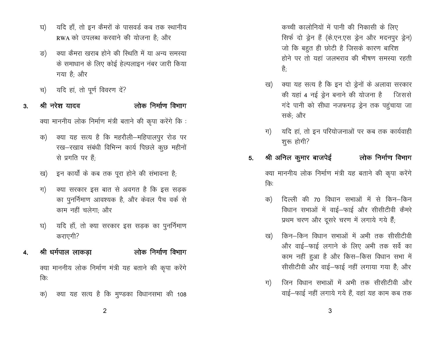- यदि हाँ, तो इन कैमरों के पासवर्ड कब तक स्थानीय ਬ) RWA को उपलब्ध करवाने की योजना है: और
- क्या कैमरा खराब होने की स्थिति में या अन्य समस्या ङ) के समाधान के लिए कोई हेल्पलाइन नंबर जारी किया गया है; और
- च) यदि हां, तो पूर्ण विवरण दें?

### लोक निर्माण विभाग श्री नरेश यादव  $3<sub>1</sub>$

क्या माननीय लोक निर्माण मंत्री बताने की कृपा करेंगे कि:

- क्या यह सत्य है कि महरौली—महिपालपूर रोड पर क) रख-रखाव संबंधी विभिन्न कार्य पिछले कुछ महीनों से प्रगति पर हैं:
- ख) इन कार्यों के कब तक पूरा होने की संभावना है;
- क्या सरकार इस बात से अवगत है कि इस सडक ग $\big)$ का पुनर्निमाण आवश्यक है, और केवल पैच वर्क से काम नहीं चलेगा: और
- यदि हाँ, तो क्या सरकार इस सड़क का पुनर्निमाण घ) कराएगी?
- लोक निर्माण विभाग श्री धर्मपाल लाकडा  $4.$

क्या माननीय लोक निर्माण मंत्री यह बताने की कृपा करेंगे कि:

क) क्या यह सत्य है कि मुण्डका विधानसभा की 108

कच्ची कालोनियों में पानी की निकासी के लिए सिर्फ दो ड्रेन हैं (के.एन.एस ड्रेन और मदनपुर ड्रेन) जो कि बहुत ही छोटी है जिसके कारण बारिश होने पर तो यहां जलभराव की भीषण समस्या रहती है:

- क्या यह सत्य है कि इन दो ड़ेनों के अलावा सरकार ख) की यहां 4 नई ड्रेन बनाने की योजना है जिससे गंदे पानी को सीधा नजफगढ ड्रेन तक पहुंचाया जा सके: और
- यदि हां, तो इन परियोजनाओं पर कब तक कार्यवाही ग) शुरू होगी?

### श्री अनिल कुमार बाजपेई लोक निर्माण विभाग  $5<sub>1</sub>$

क्या माननीय लोक निर्माण मंत्री यह बताने की कृपा करेंगे कि:

- दिल्ली की 70 विधान सभाओं में से किन–किन क) विधान सभाओं में वाई-फाई और सीसीटीवी कैमरे प्रथम चरण और दूसरे चरण में लगाये गये हैं;
- किन–किन विधान सभाओं में अभी तक सीसीटीवी ख) और वाई–फाई लगाने के लिए अभी तक सर्वे का काम नहीं हुआ है और किस-किस विधान सभा में सीसीटीवी और वाई-फाई नहीं लगाया गया है; और
- जिन विधान सभाओं में अभी तक सीसीटीवी और ग $\big)$ वाई–फाई नहीं लगाये गये हैं, वहां यह काम कब तक

2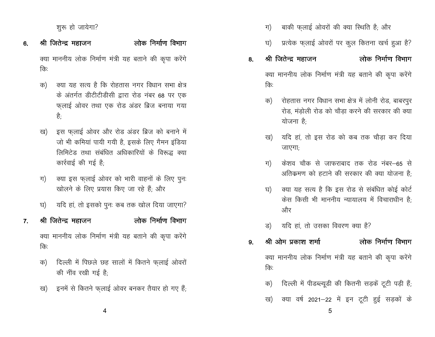शुरू हो जायेगा?

लोक निर्माण विभाग श्री जितेन्द्र महाजन 6.

क्या माननीय लोक निर्माण मंत्री यह बताने की कृपा करेंगे कि:

- क्या यह सत्य है कि रोहतास नगर विधान सभा क्षेत्र क) के अंतर्गत डीटीटीडीसी द्वारा रोड नंबर 68 पर एक फलाई ओवर तथा एक रोड अंडर ब्रिज बनाया गया है;
- इस फलाई ओवर और रोड अंडर ब्रिज को बनाने में ख) जो भी कमियां पायी गयी है, इसके लिए गैमन इंडिया लिमिटेड तथा संबंधित अधिकारियों के विरूद्ध क्या कार्रवाई की गई है:
- क्या इस फलाई ओवर को भारी वाहनों के लिए पनः  $\pi$ ) खोलने के लिए प्रयास किए जा रहे हैं: और
- यदि हां, तो इसको पुनः कब तक खोल दिया जाएगा? घ)
- लोक निर्माण विभाग श्री जितेन्द्र महाजन  $\overline{7}$ .

क्या माननीय लोक निर्माण मंत्री यह बताने की कृपा करेंगे कि:

- दिल्ली में पिछले छह सालों में कितने फलाई ओवरों क) की नींव रखी गई है:
- ख) इनमें से कितने फलाई ओवर बनकर तैयार हो गए हैं;
- बाकी फलाई ओवरों की क्या स्थिति है; और ग)
- प्रत्येक फलाई ओवरों पर कूल कितना खर्च हुआ है? घ)
- श्री जितेन्द्र महाजन लोक निर्माण विभाग  $8<sub>1</sub>$

क्या माननीय लोक निर्माण मंत्री यह बताने की कृपा करेंगे कि:

- रोहतास नगर विधान सभा क्षेत्र में लोनी रोड, बाबरपूर क) रोड, मंडोली रोड को चौड़ा करने की सरकार की क्या योजना है:
- यदि हां, तो इस रोड को कब तक चौड़ा कर दिया ख) जाएगा:
- केशव चौक से जाफराबाद तक रोड नंबर–65 से ग) अतिक्रमण को हटाने की सरकार की क्या योजना है
- क्या यह सत्य है कि इस रोड से संबंधित कोई कोर्ट ਬ) केस किसी भी माननीय न्यायालय में विचाराधीन है: और
- यदि हां, तो उसका विवरण क्या है? ड)
- श्री ओम प्रकाश शर्मा लोक निर्माण विभाग  $9<sub>1</sub>$ क्या माननीय लोक निर्माण मंत्री यह बताने की कृपा करेंगे कि:
	- दिल्ली में पीडब्ल्यूडी की कितनी सड़कें टूटी पड़ी हैं; क)
	- क्या वर्ष 2021–22 में इन टूटी हुई सड़कों के ख)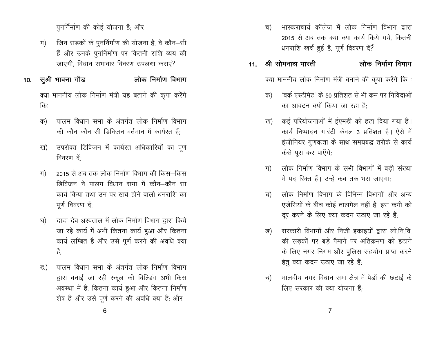पुनर्निर्माण की कोई योजना है; और

जिन सड़कों के पुनर्निर्माण की योजना है, वे कौन–सी ग) हैं और उनके पुनर्निर्माण पर कितनी राशि व्यय की जाएगी. विधान सभावार विवरण उपलब्ध कराएं?

10. सुश्री भावना गौड लोक निर्माण विभाग

> क्या माननीय लोक निर्माण मंत्री यह बताने की कृपा करेंगे कि:

- पालम विधान सभा के अंतर्गत लोक निर्माण विभाग क) की कौन कौन सी डिविजन वर्तमान में कार्यरत हैं
- उपरोक्त डिविजन में कार्यरत अधिकारियों का पूर्ण ख) विवरण दें:
- 2015 से अब तक लोक निर्माण विभाग की किस—किस ग) डिविजन ने पालम विधान सभा में कौन–कौन सा कार्य किया तथा उन पर खर्च होने वाली धनराशि का पूर्ण विवरण दें;
- दादा देव अस्पताल में लोक निर्माण विभाग द्वारा किये घ) जा रहे कार्य में अभी कितना कार्य हुआ और कितना कार्य लम्बित है और उसे पूर्ण करने की अवधि क्या ੜ੍ਹੇ
- पालम विधान सभा के अंतर्गत लोक निर्माण विभाग ड.) द्वारा बनाई जा रही स्कूल की बिल्डिंग अभी किस अवस्था में है, कितना कार्य हुआ और कितना निर्माण शेष है और उसे पूर्ण करने की अवधि क्या है; और
- भास्कराचार्य कॉलेज में लोक निर्माण विभाग द्वारा च) 2015 से अब तक क्या क्या कार्य किये गये. कितनी धनराशि खर्च हुई है, पूर्ण विवरण दें?
- लोक निर्माण विभाग 11. श्री सोमनाथ भारती

क्या माननीय लोक निर्माण मंत्री बनाने की कृपा करेंगे कि :

- 'वर्क एस्टीमेट' के 50 प्रतिशत से भी कम पर निविदाओं क) का आवंटन क्यों किया जा रहा है:
- कई परियोजनाओं में ईएमडी को हटा दिया गया है। ख) कार्य निष्पादन गारंटी केवल 3 प्रतिशत है। ऐसे में इंजीनियर गुणवत्ता के साथ समयबद्ध तरीके से कार्य कैसे पूरा कर पाएँगे:
- लोक निर्माण विभाग के सभी विभागों में बड़ी संख्या  $\pi$ ) में पद रिक्त हैं। उन्हें कब तक भरा जाएगा:
- लोक निर्माण विभाग के विभिन्न विभागों और अन्य ਬ) एजेंसियों के बीच कोई तालमेल नहीं है, इस कमी को दूर करने के लिए क्या कदम उठाए जा रहे हैं;
- सरकारी विभागों और निजी इकाइयों द्वारा लो.नि.वि. ङ) की सड़कों पर बड़े पैमाने पर अतिक्रमण को हटाने के लिए नगर निगम और पुलिस सहयोग प्राप्त करने हेतू क्या कदम उठाए जा रहे हैं;
- मालवीय नगर विधान सभा क्षेत्र में पेडों की छटाई के च) लिए सरकार की क्या योजना हैं: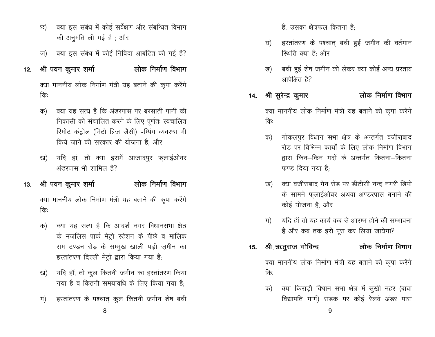- क्या इस संबंध में कोई सर्वेक्षण और संबन्धित विभाग ত) की अनुमति ली गई है ; और
- ज) क्या इस संबंध में कोई निविदा आबंटित की गई है?

श्री पवन कुमार शर्मा लोक निर्माण विभाग 12.

क्या माननीय लोक निर्माण मंत्री यह बताने की कृपा करेंगे क्ति:

- क्या यह सत्य है कि अंडरपास पर बरसाती पानी की क) निकासी को संचालित करने के लिए पूर्णतः स्वचालित रिमोट कंट्रोल (मिंटो ब्रिज जैसी) पम्पिंग व्यवस्था भी किये जाने की सरकार की योजना है: और
- ख) यदि हां, तो क्या इसमें आजादपुर फलाईओवर अंडरपास भी शामिल है?

### लोक निर्माण विभाग 13. श्री पवन कुमार शर्मा

क्या माननीय लोक निर्माण मंत्री यह बताने की कुपा करेंगे किः

- क्या यह सत्य है कि आदर्श नगर विधानसभा क्षेत्र क) के मजलिस पार्क मेट्रो स्टेशन के पीछे व मालिक राम टण्डन रोड़ के सम्मुख खाली पड़ी ज़मीन का हस्तांतरण दिल्ली मेट्रो द्वारा किया गया है;
- यदि हाँ, तो कुल कितनी जमीन का हस्तांतरण किया ख) गया है व कितनी समयावधि के लिए किया गया है:
- हस्तांतरण के पश्चात् कुल कितनी जमीन शेष बची ग)

है. उसका क्षेत्रफल कितना है<sup>.</sup>

- हस्तांतरण के पश्चात बची हुई जमीन की वर्तमान घ) रिथति क्या है: और
- बची हुई शेष जमीन को लेकर क्या कोई अन्य प्रस्ताव ङ) आपेक्षित है?

### लोक निर्माण विभाग 14. श्री सुरेन्द्र कुमार

क्या माननीय लोक निर्माण मंत्री यह बताने की कृपा करेंगे कि:

- गोकलपुर विधान सभा क्षेत्र के अन्तर्गत वजीराबाद क) रोड पर विभिन्न कार्यों के लिए लोक निर्माण विभाग द्वारा किन—किन मदों के अन्तर्गत कितना—कितना फण्ड दिया गया है:
- क्या वजीराबाद मेन रोड पर डीटीसी नन्द नगरी डिपो ख) के सामने फलाईओवर अथवा अण्डरपास बनाने की कोई योजना है; और
- यदि हॉ तो यह कार्य कब से आरम्भ होने की सम्भावना ग $\big)$ है और कब तक इसे पूरा कर लिया जायेगा?
- 15. श्री ऋतुराज गोविन्द लोक निर्माण विभाग
	- क्या माननीय लोक निर्माण मंत्री यह बताने की कुपा करेंगे कि:
	- क्या किराड़ी विधान सभा क्षेत्र में सुखी नहर (बाबा क) विद्यापति मार्ग) सड़क पर कोई रेलवे अंडर पास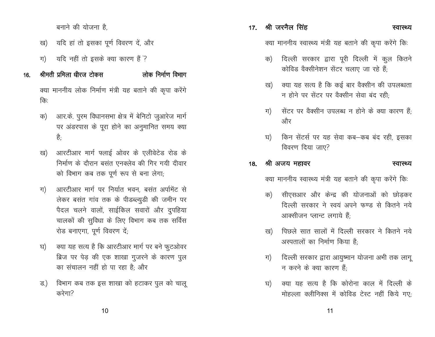बनाने की योजना है.

- ख) यदि हां तो इसका पूर्ण विवरण दें, और
- यदि नहीं तो इसके क्या कारण हैं ? ग)
- श्रीमती प्रमिला धीरज टोकस लोक निर्माण विभाग  $16.$

क्या माननीय लोक निर्माण मंत्री यह बताने की कृपा करेंगे कि:

- आर.के. पुरम विधानसभा क्षेत्र में बेनिटो जुआरेज मार्ग क) पर अंडरपास के पुरा होने का अनुमानित समय क्या ੜ੍ਹੇ $\cdot$
- आरटीआर मार्ग फ्लाई ओवर के एलीवेटेड रोड के ख) निर्माण के दौरान बसंत एनक्लेव की गिर गयी दीवार को विभाग कब तक पूर्ण रूप से बना लेगा;
- आरटीआर मार्ग पर निर्यात भवन बसंत अर्पामेंट से ग $\big)$ लेकर बसंत गांव तक के पीडब्ल्युडी की जमीन पर पैदल चलने वालों, साईकिल सवारों और दुपहिया चालकों की सुविधा के लिए विभाग कब तक सर्विस रोड बनाएगा, पूर्ण विवरण दें;
- क्या यह सत्य है कि आरटीआर मार्ग पर बने फुटओवर घ) ब्रिज पर पेड़ की एक शाखा गुजरने के कारण पुल का संचालन नहीं हो पा रहा है; और
- विभाग कब तक इस शाखा को हटाकर पूल को चालू ड.) करेगा?

17. श्री जरनैल सिंह

### स्वास्थ्य

क्या माननीय स्वास्थ्य मंत्री यह बताने की कृपा करेंगे कि:

- दिल्ली सरकार द्वारा पूरी दिल्ली में कुल कितने क) कोविड वैक्सीनेशन सेंटर चलाए जा रहे हैं:
- क्या यह सत्य है कि कई बार वैक्सीन की उपलब्धता ख) न होने पर सेंटर पर वैक्सीन सेवा बंद रही
- सेंटर पर वैक्सीन उपलब्ध न होने के क्या कारण हैं: ग) और
- किन सेंटर्स पर यह सेवा कब—कब बंद रही, इसका घ) विवरण दिया जाए?
- 18. श्री अजय महावर स्वास्थ्य

क्या माननीय स्वास्थ्य मंत्री यह बताने की कुपा करेंगे कि:

- सीएसआर और केन्द्र की योजनाओं को छोडकर क) दिल्ली सरकार ने स्वयं अपने फण्ड से कितने नये आक्सीजन प्लान्ट लगाये हैं:
- पिछले सात सालों में दिल्ली सरकार ने कितने नये रव) अस्पतालों का निर्माण किया है:
- दिल्ली सरकार द्वारा आयुष्मान योजना अभी तक लागू ग) न करने के क्या कारण हैं:
- क्या यह सत्य है कि कोरोना काल में दिल्ली के घ) मोहल्ला क्लीनिक्स में कोविड टेस्ट नहीं किये गए;

 $10$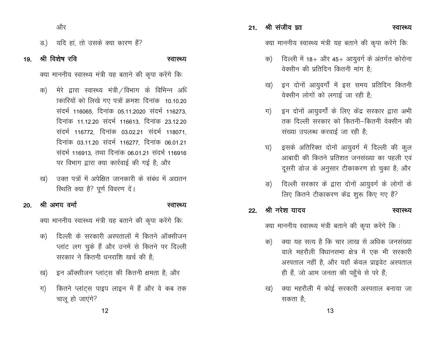और

- <u>ड.)</u> यदि हां, तो उसके क्या कारण हैं?
- <u>19. श्री विशेष रवि</u> संस्था संस्था करनास्थ्य प्रसार स्वास्थ्य

क्या माननीय स्वास्थ्य मंत्री यह बताने की कृपा करेंगे कि:

- क) मेरे द्वारा स्वास्थ्य मंत्री /विभाग के विभिन्न अधि <u>कारियों को लिखे गए पत्रों क्रमशः दिनांक 10.10.20</u> संदर्भ 116065, दिनांक 05.11.2020 संदर्भ 116273, दिनांक 11.12.20 संदर्भ 116613, दिनांक 23.12.20 संदर्भ 116772, दिनांक 03.02.21 संदर्भ 118071, दिनांक 03.11.20 संदर्भ 116277, दिनांक 06.01.21 संदर्भ 116913, तथा दिनांक 06.01.21 संदर्भ 116916 पर विभाग द्वारा क्या कार्रवाई की गई है; और
- ख) जिल्ला पत्रों में अपेक्षित जानकारी के संबंध में अद्यतन रिश्चति क्या है? पूर्ण विवरण दें।

# 20. श्री अभय वर्मा चिकित्स्य स्वास्थ्य

क्या माननीय स्वास्थ्य मंत्री यह बताने की कृपा करेंगे कि:

- क) विल्ली के सरकारी अस्पतालों में कितने ऑक्सीजन प्लांट लग चुके हैं और उनमें से कितने पर दिल्ली सरकार ने कितनी धनराशि खर्च की है:
- ख) हन ऑक्सीजन प्लांटस की कितनी क्षमता है; और
- ग) कितने प्लांट्स पाइप लाइन में हैं और वे कब तक चालू हो जाएंगे?

21- Jh latho >k LokLF;

क्या माननीय स्वास्थ्य मंत्री यह बताने की कृपा करेंगे कि:

- $\sigma$ ) दिल्ली में 18+ और 45+ आयुवर्ग के अंतर्गत कोरोना वेक्सीन की प्रतिदिन कितनी मांग है:
- ख) इन दोनों आयुवर्गों में इस समय प्रतिदिन कितनी वेक्सीन लोगों को लगाई जा रही है:
- ग) हुन दोनों आयुवर्गों के लिए केंद्र सरकार द्वारा अभी तक दिल्ली सरकार को कितनी–कितनी वेक्सीन की संख्या उपलब्ध करवाई जा रही है:
- घ) इसके अतिरिक्त दोनों आयुवर्ग में दिल्ली की कूल आबादी की कितने प्रतिशत जनसंख्या का पहली एवं दसरी डोज के अनुसार टीकाकरण हो चुका है; और
- ङ) दिल्ली सरकार के द्वारा दोनों आयुवर्ग के लोगों के लिए कितने टीकाकरण केंद्र शुरू किए गए हैं?
- 22- Jh ujs'k ;kno LokLF;

क्या माननीय स्वास्थ्य मंत्री बताने की कृपा करेंगे कि :

- क) क्या यह सत्य है कि चार लाख से अधिक जनसंख्या वाले महरौली विधानसभा क्षेत्र में एक भी सरकारी अस्पताल नहीं है, और यहाँ केवल प्राइवेट अस्पताल ही हैं, जो आम जनता की पहुँचे से परे हैं;
- ख) क्या महरौली में कोई सरकारी अस्पताल बनाया जा सकता है: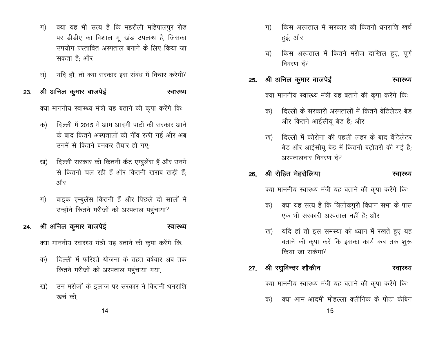- क्या यह भी सत्य है कि महरौली महिपालपुर रोड ग) पर डीडीए का विशाल भू-खंड उपलब्ध है, जिसका उपयोग प्रस्तावित अस्पताल बनाने के लिए किया जा सकता है; और
- यदि हाँ, तो क्या सरकार इस संबंध में विचार करेगी? ਬ)

श्री अनिल कुमार बाजपेई 23. स्वास्थ्य

क्या माननीय स्वास्थ्य मंत्री यह बताने की कृपा करेंगे कि:

- दिल्ली में 2015 में आम आदमी पार्टी की सरकार आने क) के बाद कितने अस्पतालों की नींव रखी गई और अब उनमें से कितने बनकर तैयार हो गए;
- ख) दिल्ली सरकार की कितनी कैट एम्बुलेंस हैं और उनमें से कितनी चल रही हैं और कितनी खराब खड़ी हैं: और
- बाइक एम्बुलेंस कितनी हैं और पिछले दो सालों में ग) उन्होंने कितने मरीजों को अस्पताल पहुंचाया?
- 24. श्री अनिल कुमार बाजपेई

स्वास्थ्य

क्या माननीय स्वास्थ्य मंत्री यह बताने की कृपा करेंगे कि:

- दिल्ली में फरिश्ते योजना के तहत वर्षवार अब तक क) कितने मरीजों को अस्पताल पहुंचाया गया;
- उन मरीजों के इलाज पर सरकार ने कितनी धनराशि ख) खर्च की:
- किस अस्पताल में सरकार की कितनी धनराशि खर्च ग) हुई; और
- किस अस्पताल में कितने मरीज दाखिल हुए, पूर्ण घ) विवरण दें?
- 25. श्री अनिल कुमार बाजपेई स्वास्थ्य

क्या माननीय स्वास्थ्य मंत्री यह बताने की कृपा करेंगे कि:

- दिल्ली के सरकारी अस्पतालों में कितने वेंटिलेटर बेड क) और कितने आईसीयू बेड है; और
- दिल्ली में कोरोना की पहली लहर के बाद वेंटिलेटर ख) बेड और आईसीयू बेड में कितनी बढ़ोतरी की गई है; अस्पतालवार विवरण दें?
- 26. श्री रोहित मेहरोलिया

स्वास्थ्य

क्या माननीय स्वास्थ्य मंत्री यह बताने की कुपा करेंगे कि:

- क्या यह सत्य है कि त्रिलोकपुरी विधान सभा के पास क) एक भी सरकारी अस्पताल नहीं है: और
- यदि हां तो इस समस्या को ध्यान में रखते हुए यह ख) बताने की कृपा करें कि इसका कार्य कब तक शुरू किया जा सकेगा?
- 27. श्री रघुविन्दर शौकीन स्वास्थ्य

क्या माननीय स्वास्थ्य मंत्री यह बताने की कृपा करेंगे कि:

क्या आम आदमी मोहल्ला क्लीनिक के पोटा केबिन क)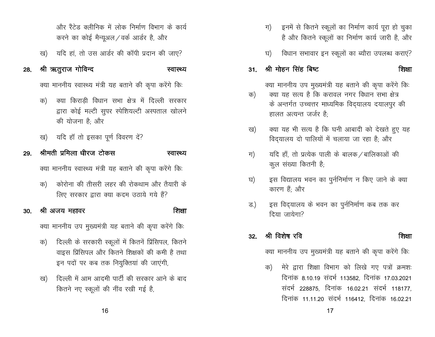और रैंटेड क्लीनिक में लोक निर्माण विभाग के कार्य करने का कोई मैन्युअल / वर्क आर्डर है, और

ख) यदि हां, तो उस आर्डर की कॉपी प्रदान की जाए?

### श्री ऋतुराज गोविन्द स्वास्थ्य 28.

क्या माननीय स्वास्थ्य मंत्री यह बताने की कृपा करेंगे कि:

- क्या किराडी विधान सभा क्षेत्र में दिल्ली सरकार क) द्वारा कोई मल्टी सुपर स्पेशियल्टी अस्पताल खोलने की योजना है: और
- ख) यदि हाँ तो इसका पूर्ण विवरण दें?

#### श्रीमती प्रमिला धीरज टोकस 29. स्वास्थ्य

क्या माननीय स्वास्थ्य मंत्री यह बताने की कृपा करेंगे कि:

कोरोना की तीसरी लहर की रोकथाम और तैयारी के क) लिए सरकार द्वारा क्या कदम उठाये गये हैं?

### शिक्षा श्री अजय महावर 30.

क्या माननीय उप मुख्यमंत्री यह बताने की कृपा करेंगे कि:

- दिल्ली के सरकारी स्कूलों में कितनें प्रिंसिपल, कितने क) वाइस प्रिंसिपल और कितने शिक्षकों की कमी है तथा इन पदों पर कब तक नियुक्तियां की जाएंगी,
- दिल्ली में आम आदमी पार्टी की सरकार आने के बाद ख) कितने नए स्कूलों की नींव रखी गई है,
- इनमें से कितने स्कूलों का निर्माण कार्य पूरा हो चुका ग) है और कितने स्कूलों का निर्माण कार्य जारी है, और
- विधान सभावार इन स्कूलों का ब्यौरा उपलब्ध कराएं? घ)
- 31. श्री मोहन सिंह बिष्ट

शिक्षा

- क्या माननीय उप मुख्यमंत्री यह बताने की कृपा करेंगे कि:
- क्या यह सत्य है कि करावल नगर विधान सभा क्षेत्र क) के अन्तर्गत उच्चत्तर माध्यमिक विदयालय दयालपुर की हालत अत्यन्त जर्जर है;
- क्या यह भी सत्य है कि घनी आबादी को देखते हुए यह ख) विद्यालय दो पालियों में चलाया जा रहा है; और
- यदि हाँ, तो प्रत्येक पाली के बालक / बालिकाओं की ग) कूल संख्या कितनी है;
- इस विद्यालय भवन का पुर्ननिर्माण न किए जाने के क्या घ) कारण हैं: और
- इस विद्यालय के भवन का पुर्ननिर्माण कब तक कर ड.) दिया जायेगा?
- श्री विशेष रवि शिक्षा  $32.$

क्या माननीय उप मुख्यमंत्री यह बताने की कृपा करेंगे कि:

मेरे द्वारा शिक्षा विभाग को लिखे गए पत्रों क्रमशः क) दिनांक 8.10.19 संदर्भ 113582, दिनांक 17.03.2021 संदर्भ 228875, दिनांक 16.02.21 संदर्भ 118177, दिनांक 11.11.20 संदर्भ 116412, दिनांक 16.02.21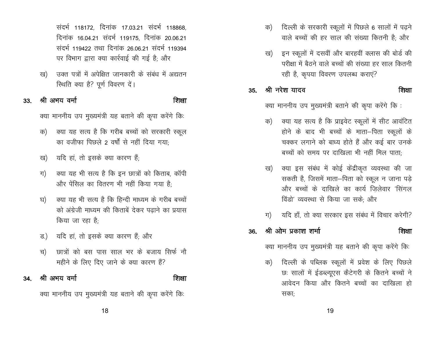संदर्भ 118172, दिनांक 17.03.21 संदर्भ 118868, दिनांक 16.04.21 संदर्भ 119175, दिनांक 20.06.21 संदर्भ 119422 तथा दिनांक 26.06.21 संदर्भ 119394 पर विभाग द्वारा क्या कार्रवाई की गई है; और

उक्त पत्रों में अपेक्षित जानकारी के संबंध में अद्यतन ख) स्थिति क्या है? पूर्ण विवरण दें।

#### श्री अभय वर्मा शिक्षा 33.

क्या माननीय उप मुख्यमंत्री यह बताने की कृपा करेंगे कि:

- क्या यह सत्य है कि गरीब बच्चों को सरकारी स्कूल क) का वजीफा पिछले 2 वर्षों से नहीं दिया गया
- ख) यदि हां. तो इसके क्या कारण हैं:
- क्या यह भी सत्य है कि इन छात्रों को किताब, कॉपी ग) और पेंसिल का वितरण भी नहीं किया गया है
- क्या यह भी सत्य है कि हिन्दी माध्यम के गरीब बच्चों ਬ) को अंग्रेजी माध्यम की किताबें देकर पढाने का प्रयास किया जा रहा है:
- ड़.) यदि हां, तो इसके क्या कारण हैं; और
- छात्रों को बस पास साल भर के बजाय सिर्फ नौ च) महीने के लिए दिए जाने के क्या कारण हैं?

### 34. श्री अभय वर्मा शिक्षा

क्या माननीय उप मुख्यमंत्री यह बताने की कृपा करेंगे कि:

- दिल्ली के सरकारी स्कूलों में पिछले 6 सालों में पढ़ने क) वाले बच्चों की हर साल की संख्या कितनी है<sup>.</sup> और
- इन स्कूलों में दसवीं और बारहवीं क्लास की बोर्ड की ख) परीक्षा में बैठने वाले बच्चों की संख्या हर साल कितनी रही है, कुपया विवरण उपलब्ध कराएं?

### 35. श्री नरेश यादव शिक्षा

क्या माननीय उप मुख्यमंत्री बताने की कृपा करेंगे कि:

- क्या यह सत्य है कि प्राइवेट स्कूलों में सीट आवंटित क) होने के बाद भी बच्चों के माता-पिता स्कूलों के चक्कर लगाने को बाध्य होते हैं और कई बार उनके बच्चों को समय पर दाखिला भी नहीं मिल पाता
- क्या इस संबंध में कोई केंद्रीकृत व्यवस्था की जा ख) सकती है, जिसमें माता–पिता को स्कूल न जाना पडे और बच्चों के दाखिले का कार्य जिलेवार 'सिंगल विंडो' व्यवस्था से किया जा सके; और
- यदि हाँ, तो क्या सरकार इस संबंध में विचार करेगी? ग)
- श्री ओम प्रकाश शर्मा 36.
	- क्या माननीय उप मुख्यमंत्री यह बताने की कृपा करेंगे कि:

शिक्षा

दिल्ली के पब्लिक स्कूलों में प्रवेश के लिए पिछले क) छः सालों में ईडब्ल्युएस कैटेगरी के कितने बच्चों ने आवेदन किया और कितने बच्चों का दाखिला हो सकाः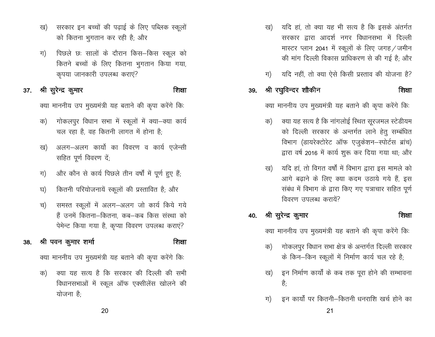- सरकार इन बच्चों की पढ़ाई के लिए पब्लिक स्कूलों ख) को कितना भुगतान कर रही है; और
- पिछले छः सालों के दौरान किस–किस स्कूल को ग) कितने बच्चों के लिए कितना भुगतान किया गया, कृपया जानकारी उपलब्ध कराएं?

# 37. श्री सुरेन्द्र कुमार

शिक्षा

क्या माननीय उप मुख्यमंत्री यह बताने की कृपा करेंगे कि:

- गोकलपुर विधान सभा में स्कूलों में क्या–क्या कार्य क) चल रहा है, वह कितनी लागत में होना है;
- अलग-अलग कार्यो का विवरण व कार्य एजेन्सी ख) सहित पूर्ण विवरण दें;
- और कौन से कार्य पिछले तीन वर्षों में पूर्ण हुए हैं; ग)
- कितनी परियोजनायें स्कूलों की प्रस्तावित है; और घ)
- समस्त स्कूलों में अलग-अलग जो कार्य किये गये च) हैं उनमें कितना-कितना, कब-कब किस संस्था को पेमेन्ट किया गया है, कृप्या विवरण उपलब्ध कराएं?

### श्री पवन कुमार शर्मा शिक्षा 38.

क्या माननीय उप मुख्यमंत्री यह बताने की कृपा करेंगे कि:

क्या यह सत्य है कि सरकार की दिल्ली की सभी क) विधानसभाओं में स्कूल ऑफ एक्सीलेंस खोलने की योजना है:

यदि हां, तो क्या यह भी सत्य है कि इसके अंतर्गत ख) सरकार द्वारा आदर्श नगर विधानसभा में दिल्ली मास्टर प्लान 2041 में स्कूलों के लिए जगह / जमीन की मांग दिल्ली विकास प्राधिकरण से की गई है; और

यदि नहीं, तो क्या ऐसे किसी प्रस्ताव की योजना है?  $\pi$ )

शिक्षा

### श्री रघुविन्दर शौकीन 39.

क्या माननीय उप मुख्यमंत्री यह बताने की कृपा करेंगे कि:

- क) क्या यह सत्य है कि नांगलोई स्थित सूरजमल स्टेडीयम को दिल्ली सरकार के अन्तर्गत लाने हेतु सम्बंधित विभाग (डायरेक्टोरेट ऑफ एजुकेशन-स्पोर्टस ब्रांच) द्वारा वर्ष 2016 में कार्य शुरू कर दिया गया था; और
- यदि हां, तो विगत वर्षों में विभाग द्वारा इस मामले को ख) आगे बढ़ाने के लिए क्या कदम उठाये गये हैं, इस संबंध में विभाग के द्वारा किए गए पत्राचार सहित पूर्ण विवरण उपलब्ध करायें?
- 40. श्री सुरेन्द्र कुमार शिक्षा

क्या माननीय उप मुख्यमंत्री यह बताने की कृपा करेंगे कि:

- गोकलपुर विधान सभा क्षेत्र के अन्तर्गत दिल्ली सरकार क) के किन-किन स्कूलों में निर्माण कार्य चल रहे है;
- इन निर्माण कार्यों के कब तक पुरा होने की सम्भावना ख) ੜ੍ਹੇ $\cdot$
- इन कार्यों पर कितनी–कितनी धनराशि खर्च होने का ग)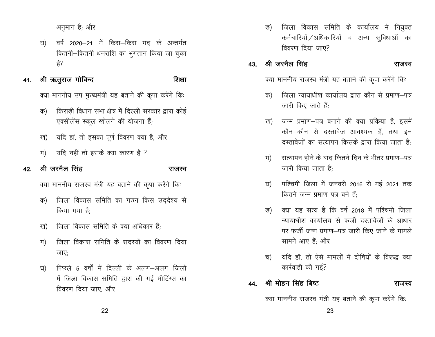अनुमान है; और

वर्ष 2020–21 में किस–किस मद के अन्तर्गत ਬ) कितनी–कितनी धनराशि का भुगतान किया जा चुका हे?

# 41. श्री ऋतुराज गोविन्द

क्या माननीय उप मुख्यमंत्री यह बताने की कृपा करेंगे कि:

शिक्षा

- किराड़ी विधान सभा क्षेत्र में दिल्ली सरकार द्वारा कोई क) एक्सीलेंस स्कूल खोलने की योजना हैं;
- ख) यदि हां, तो इसका पूर्ण विवरण क्या है; और
- यदि नहीं तो इसके क्या कारण हैं ? ग)

### श्री जरनैल सिंह 42 राजस्व

क्या माननीय राजस्व मंत्री यह बताने की कृपा करेंगे कि:

- जिला विकास समिति का गठन किस उद्देश्य से क) किया गया है<sup>.</sup>
- जिला विकास समिति के क्या अधिकार हैं: ख)
- जिला विकास समिति के सदस्यों का विवरण दिया ग) जाए;
- पिछले 5 वर्षों में दिल्ली के अलग–अलग जिलों घ) में जिला विकास समिति द्वारा की गई मीटिंग्स का विवरण दिया जाए; और
- जिला विकास समिति के कार्यालय में नियुक्त ङ) कर्मचारियों / अधिकारियों व अन्य सुविधाओं का विवरण दिया जाए?
- $43$  श्री जरनैल सिंह

### राजस्व

राजस्व

क्या माननीय राजस्व मंत्री यह बताने की कृपा करेंगे कि:

- जिला न्यायाधीश कार्यालय द्वारा कौन से प्रमाण–पत्र क) जारी किए जाते हैं
- जन्म प्रमाण–पत्र बनाने की क्या प्रकिया है, इसमें ख) कौन–कौन से दस्तावेज आवश्यक हैं, तथा इन दस्तावेजों का सत्यापन किसके द्वारा किया जाता है:
- सत्यापन होने के बाद कितने दिन के भीतर प्रमाण—पत्र ग) जारी किया जाता है:
- पश्चिमी जिला में जनवरी 2016 से मई 2021 तक घ) कितने जन्म प्रमाण पत्र बने हैं:
- क्या यह सत्य है कि वर्ष 2018 में पश्चिमी जिला ङ) न्यायाधीश कार्यालय से फर्जी दस्तावेजों के आधार पर फर्जी जन्म प्रमाण–पत्र जारी किए जाने के मामले सामने आए हैं: और
- यदि हाँ, तो ऐसे मामलों में दोषियों के विरूद्ध क्या च) कार्रवाही की गई?
- 44. श्री मोहन सिंह बिष्ट

क्या माननीय राजस्व मंत्री यह बताने की कृपा करेंगे कि: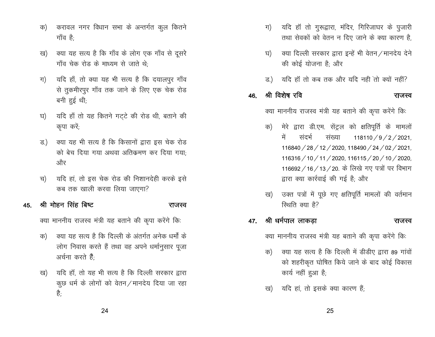- करावल नगर विधान सभा के अन्तर्गत कुल कितने क) गाँव है:
- क्या यह सत्य है कि गाँव के लोग एक गाँव से दूसरे ख) गाँव चेक रोड़ के माध्यम से जाते थे<sup>.</sup>
- यदि हाँ, तो क्या यह भी सत्य है कि दयालपुर गाँव ग) से तुकमीरपुर गाँव तक जाने के लिए एक चेक रोड बनी हुई थी;
- यदि हाँ तो यह कितने गट्टे की रोड थी, बताने की ਬ) कृपा करें:
- क्या यह भी सत्य है कि किसानों द्वारा इस चेक रोड ड.) को बेच दिया गया अथवा अतिक्रमण कर दिया गया: और
- यदि हां, तो इस चेक रोड की निशानदेही करके इसे च) कब तक खाली करवा लिया जाएगा?

### श्री मोहन सिंह बिष्ट 45. राजस्व

क्या माननीय राजस्व मंत्री यह बताने की कृपा करेंगे कि:

- क्या यह सत्य है कि दिल्ली के अंतर्गत अनेक धर्मों के क) लोग निवास करते हैं तथा वह अपने धर्मानुसार पूजा अर्चना करते हैं:
- यदि हॉ, तो यह भी सत्य है कि दिल्ली सरकार द्वारा ख) कूछ धर्म के लोगों को वेतन/मानदेय दिया जा रहा 송.
- यदि हॉ तो गुरूद्वारा, मंदिर, गिरिजाघर के पुजारी ग) तथा सेवकों को वेतन न दिए जाने के क्या कारण है.
- क्या दिल्ली सरकार द्वारा इन्हें भी वेतन / मानदेय देने घ) की कोई योजना है; और
- ड.) यदि हॉं तो कब तक और यदि नहीं तो क्यों नहीं?

### 46. श्री विशेष रवि राजस्व

क्या माननीय राजस्व मंत्री यह बताने की कृपा करेंगे कि:

- मेरे द्वारा डी.एम. सेंट्रल को क्षतिपूर्ति के मामलों क) में संदर्भ संख्या  $118110 / 9 / 2 / 2021$ 116840 / 28 / 12 / 2020, 118490 / 24 / 02 / 2021, 116316 / 10 / 11 / 2020, 116115 / 20 / 10 / 2020, 116692 / 16 / 13 / 20. के लिखे गए पत्रों पर विभाग द्वारा क्या कार्रवाई की गई है; और
- उक्त पत्रों में पूछे गए क्षतिपूर्ति मामलों की वर्तमान ख) रिथति क्या है?
- 47. श्री धर्मपाल लाकडा राजस्व

क्या माननीय राजस्व मंत्री यह बताने की कृपा करेंगे कि:

- क्या यह सत्य है कि दिल्ली में डीडीए द्वारा 89 गांवों क) को शहरीकृत घोषित किये जाने के बाद कोई विकास कार्य नहीं हुआ है;
- यदि हां, तो इसके क्या कारण हैं; ख)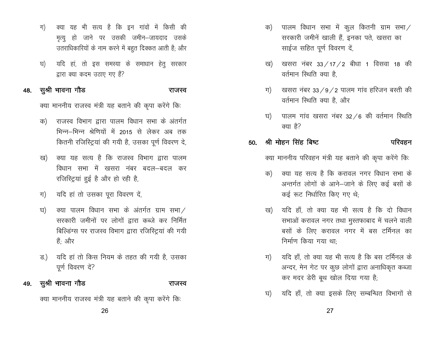- ग) क्या यह भी सत्य है कि इन गांवों में किसी की मृत्यू हो जाने पर उसकी जमीन–जायदाद उसके उतराधिकारियों के नाम करने में बहुत दिक्कत आती है; और
- घ) यदि हां, तो इस समस्या के समाधान हेतु सरकार द्वारा क्या कदम उठाए गए हैं?

48- lqJh Hkkouk xkSM jktLo

क्या माननीय राजस्व मंत्री यह बताने की कृपा करेंगे कि:

- क) ) राजस्व विभाग द्वारा पालम विधान सभा के अंतर्गत भिन्न–भिन्न श्रेणियों में 2015 से लेकर अब तक कितनी रजिस्ट्रियां की गयी है, उसका पूर्ण विवरण दे,
- ख) क्या यह सत्य है कि राजस्व विभाग द्वारा पालम विधान सभा में खसरा नंबर बदल—बदल कर रजिस्ट्रियां हुई है और हो रही है,
- $\vert \eta \rangle$  ) यदि हां तो उसका पुरा विवरण दें,
- घ) व्या पालम विधान सभा के अंतर्गत ग्राम सभा $\angle$ सरकारी जमीनों पर लोगों द्वारा कब्जे कर निर्मित बिल्डिंग्स पर राजस्व विभाग द्वारा रजिस्ट्रियां की गयी हैं: और
- ड़.) यदि हां तो किस नियम के तहत की गयी है, उसका पूर्ण विवरण दें?

# 49. सूश्री भावना गौड

क्या माननीय राजस्व मंत्री यह बताने की कृपा करेंगे कि:

- क) पालम विधान सभा में कुल कितनी ग्राम सभा $\angle$ सरकारी जमीनें खाली हैं. इनका पते. खसरा का साईज सहित पूर्ण विवरण दें,
- ख) खसरा नंबर 33 / 17 / 2 बीधा 1 विसवा 18 की वर्तमान स्थिति क्या है
- $\vert \bar{\bm{\eta}} \vert$  खसरा नंबर 33/9/2 पालम गांव हरिजन बस्ती की वर्तमान स्थिति क्या है. और
- घ) पालम गांव खसरा नंबर 32/6 की वर्तमान स्थिति क्या है?
- $50.$  श्री मोहन सिंह बिष्ट  $\overline{a}$  ifform  $\overline{a}$

क्या माननीय परिवहन मंत्री यह बताने की कृपा करेंगे कि:

- क) क्या यह सत्य है कि करावल नगर विधान सभा के अन्तर्गत लोगों के आने–जाने के लिए कई बसों के  $\Phi$ कई रूट निर्धारित किए गए थे:
- ख) यदि हाँ तो क्या यह भी सत्य है कि दो विधान सभाओं करावल नगर तथा मुस्तफाबाद में चलने वाली बसों के लिए करावल नगर में बस टर्मिनल का निर्माण किया गया था:
- ग) यदि हाँ, तो क्या यह भी सत्य है कि बस टर्मिनल के अन्दर, मेन गेट पर कुछ लोगों द्वारा अनाधिकृत कब्जा कर मदर डेरी बुथ खोल दिया गया है;
- घ) यदि हाँ, तो क्या इसके लिए सम्बन्धित विभागों से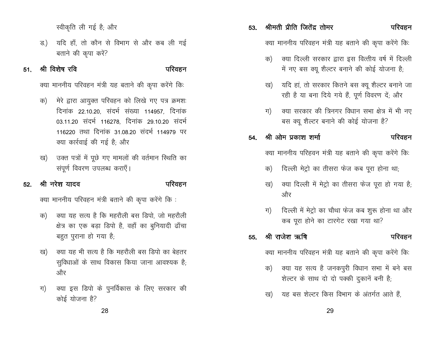स्वीकृति ली गई है; और

यदि हाँ तो कौन से विभाग से और कब ली गई ड.) बताने की कृपा करें?

### 51. श्री विशेष रवि परिवहन

क्या माननीय परिवहन मंत्री यह बताने की कृपा करेंगे कि:

- मेरे द्वारा आयुक्त परिवहन को लिखे गए पत्र क्रमशः क) दिनांक 22.10.20. संदर्भ संख्या 114957. दिनांक 03.11.20 संदर्भ 116278, दिनांक 29.10.20 संदर्भ 116220 तथा दिनांक 31.08.20 संदर्भ 114979 पर क्या कार्रवाई की गई है; और
- उक्त पत्रों में पूछे गए मामलों की वर्तमान स्थिति का ख) संपूर्ण विवरण उपलब्ध कराएँ।

#### श्री नरेश यादव परिवहन 52.

क्या माननीय परिवहन मंत्री बताने की कृपा करेंगे कि:

- क्या यह सत्य है कि महरौली बस डिपो, जो महरौली क) क्षेत्र का एक बड़ा डिपो है, वहाँ का बुनियादी ढाँचा बहुत पुराना हो गया है;
- क्या यह भी सत्य है कि महरौली बस डिपो का बेहतर रव) सुविधाओं के साथ विकास किया जाना आवश्यक है; और
- क्या इस डिपो के पुनर्विकास के लिए सरकार की ग) कोई योजना है?

### श्रीमती प्रीति जितेंद्र तोमर 53.

क्या माननीय परिवहन मंत्री यह बताने की कृपा करेंगे कि:

परिवहन

- क्या दिल्ली सरकार द्वारा इस वित्तीय वर्ष में दिल्ली क) में नए बस क्यू शैल्टर बनाने की कोई योजना है;
- यदि हां, तो सरकार कितने बस क्यू शैल्टर बनाने जा ख) रही है या बना दिये गये हैं, पूर्ण विवरण दें; और
- क्या सरकार की त्रिनगर विधान सभा क्षेत्र में भी नए ग) बस क्यू शैल्टर बनाने की कोई योजना है?
- 54. श्री ओम प्रकाश शर्मा परिवहन

# क्या माननीय परिहवन मंत्री यह बताने की कृपा करेंगे कि:

- दिल्ली मेट्रो का तीसरा फेज कब पूरा होना था; क)
- क्या दिल्ली में मेट्रो का तीसरा फेज पूरा हो गया है; ख) और
- दिल्ली में मेट्रो का चौथा फेज कब शुरू होना था और ग) कब पूरा होने का टारगेट रखा गया था?
- 55. श्री राजेश ऋषि परिवहन

क्या माननीय परिवहन मंत्री यह बताने की कृपा करेंगे कि:

- क्या यह सत्य है जनकपुरी विधान सभा में बने बस क) शेल्टर के साथ दो दो पक्की दुकानें बनी है;
- यह बस शेल्टर किस विभाग के अंतर्गत आते हैं. ख)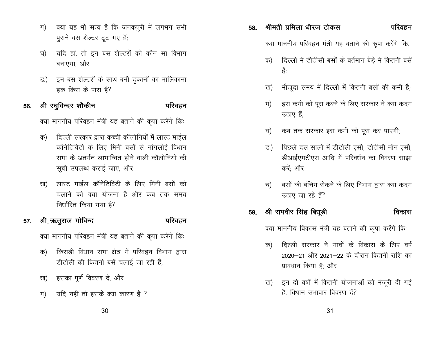- क्या यह भी सत्य है कि जनकपुरी में लगभग सभी ग) पुराने बस शेल्टर टूट गए हैं;
- यदि हां, तो इन बस शेल्टरों को कौन सा विभाग घ) बनाएगा, और
- ड.) इन बस शेल्टरों के साथ बनी दुकानों का मालिकाना हक किस के पास है?

#### श्री रघुविन्दर शौकीन परिवहन 56.

क्या माननीय परिवहन मंत्री यह बताने की कृपा करेंगे कि:

- दिल्ली सरकार द्वारा कच्ची कॉलोनियों में लास्ट माईल क) कॉनेटिविटी के लिए मिनी बसों से नांगलोई विधान सभा के अंतर्गत लाभान्वित होने वाली कॉलोनियों की सूची उपलब्ध कराई जाए, और
- ख) लास्ट माईल कॉनेटिविटी के लिए मिनी बसों को चलाने की क्या योजना है और कब तक समय निर्धारित किया गया है?

#### परिवहन श्री ऋतूराज गोविन्द 57.

क्या माननीय परिवहन मंत्री यह बताने की कृपा करेंगे कि:

- किराडी विधान सभा क्षेत्र में परिवहन विभाग द्वारा क) डीटीसी की कितनी बसें चलाई जा रहीं हैं,
- ख) हसका पूर्ण विवरण दें, और
- यदि नहीं तो इसके क्या कारण हैं ? ग)

### श्रीमती प्रमिला धीरज टोकस 58.

## परिवहन

क्या माननीय परिवहन मंत्री यह बताने की कृपा करेंगे कि:

- दिल्ली में डीटीसी बसों के वर्तमान बेडे में कितनी बसें क) हैं;
- मौजूदा समय में दिल्ली में कितनी बसों की कमी है; ख)
- इस कमी को पूरा करने के लिए सरकार ने क्या कदम ग) उठाए हैं;
- कब तक सरकार इस कमी को पूरा कर पाएगी; घ)
- पिछले दस सालों में डीटीसी एसी, डीटीसी नॉन एसी, ड.) डीआईएमटीएस आदि में परिवर्धन का विवरण साझा करें: और
- बसों की बंचिग रोकने के लिए विभाग द्वारा क्या कदम च) उठाए जा रहे हैं?
- 59. श्री रामवीर सिंह बिधूड़ी विकास

क्या माननीय विकास मंत्री यह बताने की कृपा करेंगे कि:

- दिल्ली सरकार ने गांवों के विकास के लिए वर्ष क) 2020–21 और 2021–22 के दौरान कितनी राशि का प्रावधान किया है; और
- इन दो वर्षों में कितनी योजनाओं को मंजूरी दी गई ख) है. विधान सभावार विवरण दें?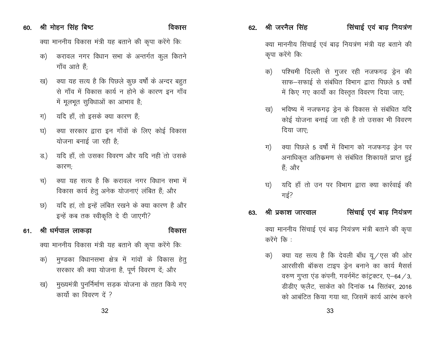### श्री मोहन सिंह बिष्ट 60.

क्या माननीय विकास मंत्री यह बताने की कृपा करेंगे कि:

- करावल नगर विधान सभा के अन्तर्गत कूल कितने क) गाँव आते हैं
- क्या यह सत्य है कि पिछले कुछ वर्षों के अन्दर बहुत ख) से गाँव में विकास कार्य न होने के कारण इन गाँव में मूलभूत सुविधाओं का आभाव है;
- यदि हाँ. तो इसके क्या कारण हैं: ग)
- क्या सरकार द्वारा इन गाँवों के लिए कोई विकास घ) योजना बनाई जा रही है;
- यदि हाँ, तो उसका विवरण और यदि नहीं तो उसके ड.) कारण;
- क्या यह सत्य है कि करावल नगर विधान सभा में च) विकास कार्य हेतू अनेक योजनाएं लंबित हैं; और
- यदि हां, तो इन्हें लंबित रखने के क्या कारण है और ত) इन्हें कब तक स्वीकृति दे दी जाएगी?
- 61. श्री धर्मपाल लाकडा

विकास

विकास

क्या माननीय विकास मंत्री यह बताने की कृपा करेंगे कि:

- मुण्डका विधानसभा क्षेत्र में गांवों के विकास हेतु क) सरकार की क्या योजना है, पूर्ण विवरण दें; और
- मुख्यमंत्री पुनर्निर्माण सड़क योजना के तहत किये गए ख) कार्यो का विवरण दें ?

क्या माननीय सिंचाई एवं बाढ नियत्रंण मंत्री यह बताने की कुपा करेंगे कि:

62. श्री जरनैल सिंह

- पश्चिमी दिल्ली से गुजर रही नजफगढ़ ड्रेन की क) साफ–सफाई से संबंधित विभाग द्वारा पिछले 5 वर्षों में किए गए कार्यों का विस्तृत विवरण दिया जाए;
- भविष्य में नजफगढ ड्रेन के विकास से संबंधित यदि ख) कोई योजना बनाई जा रही है तो उसका भी विवरण दिया जाए:
- क्या पिछले 5 वर्षों में विभाग को नजफगढ ड्रेन पर ग) अनाधिकृत अतिक्रमण से संबंधित शिकायतें प्राप्त हुई हैं: और
- यदि हाँ तो उन पर विभाग द्वारा क्या कार्रवाई की ਬ) गई?
- श्री प्रकाश जारवाल सिंचाई एवं बाढ नियंत्रण 63.

क्या माननीय सिंचाई एवं बाढ़ नियंत्रण मंत्री बताने की कृपा करेंगे कि :

क्या यह सत्य है कि देवली बाँध यू⁄एस की ओर क) आरसीसी बॉकस टाइप ड्रेन बनाने का कार्य मैसर्स वरुण गुप्ता एंड कंपनी, गवर्नमेंट कांट्रक्टर, ए-64 / 3, डीडीए फलैट, साकेत को दिनांक 14 सितंबर, 2016 को आबंटित किया गया था. जिसमें कार्य आरंभ करने

33

# सिंचाई एवं बाढ़ नियत्रंण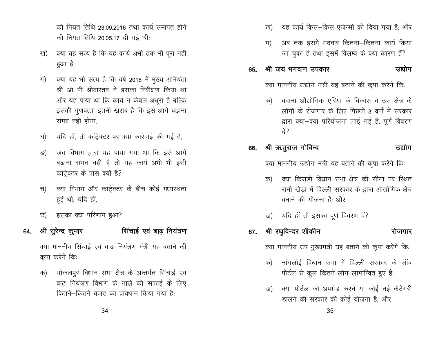की नियत तिथि 23.09.2016 तथा कार्य समापत होने की नियत तिथि 20.05.17 दी गई थी;

- क्या यह सत्य है कि यह कार्य अभी तक भी पूरा नहीं ख) हुआ है;
- क्या यह भी सत्य है कि वर्ष 2018 में मुख्य अभियंता ग) श्री ओ पी श्रीवास्तव ने इसका निरीक्षण किया था और यह पाया था कि कार्य न केवल अधुरा है बल्कि इसकी गुणवत्ता इतनी खराब है कि इसे आगे बढाना संभव नहीं होगा:
- यदि हाँ, तो कांट्रेक्टर पर क्या कार्रवाई की गई है, घ)
- जब विभाग द्वारा यह पाया गया था कि इसे आगे ङ) बढाना संभव नहीं है तो यह कार्य अभी भी इसी कांट्रेक्टर के पास क्यों है?
- क्या विभाग और कांट्रेक्टर के बीच कोई मध्यस्थता च) हुई थी, यदि हाँ,
- छ) इसका क्या परिणाम हुआ?
- सिंचाई एवं बाढ नियंत्रण 64. श्री सूरेन्द्र कूमार

क्या माननीय सिंचाई एवं बाढ नियंत्रण मंत्री यह बताने की कृपा करेंगे कि:

गोकलपुर विधान सभा क्षेत्र के अन्तर्गत सिंचाई एवं क) बाढ़ नियंत्रण विभाग के नाले की सफाई के लिए कितने-कितने बजट का प्रावधान किया गया है:

- यह कार्य किस—किस एजेन्सी को दिया गया है; और ख)
- अब तक इसमें मदवार कितना—कितना कार्य किया  $\pi$ ) जा चुका है तथा इसमें विलम्ब के क्या कारण हैं?
- 65. श्री जय भगवान उपकार

उद्योग

क्या माननीय उद्योग मंत्री यह बताने की कृपा करेंगे कि:

बवाना औद्योगिक एरिया के विकास व उस क्षेत्र के क) लोगों के रोजगार के लिए पिछले 3 वर्षों में सरकार द्वारा क्या-क्या परियोजना लाई गई है, पूर्ण विवरण ਵੇਂ?

### 66. श्री ऋतूराज गोविन्द उद्योग

क्या माननीय उद्योग मंत्री यह बताने की कृपा करेंगे कि:

- क्या किराडी विधान सभा क्षेत्र की सीमा पर स्थित क) रानी खेडा में दिल्ली सरकार के द्वारा औद्योगिक क्षेत्र बनाने की योजना है: और
- यदि हॉ तो इसका पूर्ण विवरण दें? ख)
- 67. श्री रघुविन्दर शौकीन

### रोजगार

क्या माननीय उप मुख्यमंत्री यह बताने की कृपा करेंगे कि:

- नांगलोई विधान सभा में दिल्ली सरकार के जॉब क) पोर्टल से कुल कितने लोग लाभान्वित हुए हैं;
- क्या पोर्टल को अपग्रेड करने या कोई नई कैटेगरी ख) डालने की सरकार की कोई योजना है; और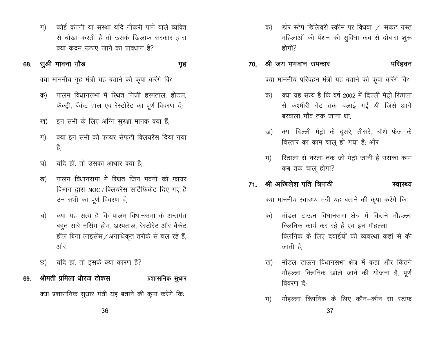कोई कंपनी या संस्था यदि नौकरी पाने वाले व्यक्ति ग) से धोखा करती है तो उसके खिलाफ सरकार द्वारा क्या कदम उठाए जाने का प्रावधान है?

# 68. सूश्री भावना गौड़

गृह

क्या माननीय गृह मंत्री यह बताने की कृपा करेंगे कि:

- पालम विधानसभा में स्थित निजी हस्पताल, होटल, क) फैक्ट्री, बैंकेट हॉल एवं रेस्टोरेंट का पूर्ण विवरण दें:
- इन सभी के लिए अग्नि सुरक्षा मानक क्या है; ख)
- क्या इन सभी को फायर सेफटी क्लियरेंस दिया गया ग) ੜ੍ਹੇ $\cdot$
- यदि हाँ, तो उसका आधार क्या है: घ)
- पालम विधानसभा मे स्थित जिन भवनों को फायर ङ) विभाग द्वारा NOC / क्लियरेंस सर्टिफिकेट दिए गए हैं उन सभी का पूर्ण विवरण दें;
- क्या यह सत्य है कि पालम विधानसभा के अन्तर्गत च) बहुत सारे नर्सिंग होम, अस्पताल, रेस्टोरेंट और बैंकेट हॉल बिना लाइसेंस/अनाधिकृत तरीके से चल रहे हैं; और
- यदि हां, तो इसके क्या कारण है? `ਲ)
- श्रीमती प्रमिला धीरज टोकस प्रशासनिक सूधार 69.

क्या प्रशासनिक सुधार मंत्री यह बताने की कृपा करेंगे कि:

डोर स्टेप डिलिवरी स्कीम पर विधवा  $\angle$  संकट ग्रस्त क) महिलाओं की पेंशन की सुविधा कब से दोबारा शुरू होगी?

### 70. श्री जय भगवान उपकार परिहवन

क्या माननीय परिवहन मंत्री यह बताने की कृपा करेंगे कि:

- क्या यह सत्य है कि वर्ष 2002 में दिल्ली मेट्रो रिठाला क) से कश्मीरी गेट तक चलाई गई थी जिसे आगे बरवाला गाँव तक जाना था<sup>.</sup>
- क्या दिल्ली मेट्रो के दूसरे, तीसरे, चौथे फेज के ख) विस्तार का काम चालू हो गया है; और
- रिठाला से नरेला तक जो मेट्रो जानी है उसका काम ग) कब तक चालू होगा?

# 71. श्री अखिलेश पति त्रिपाठी

स्वास्थ्य

क्या माननीय स्वास्थ्य मंत्री यह बताने की कुपा करेंगे कि:

- मॉडल टाऊन विधानसभा क्षेत्र में कितने मौहल्ला क) क्लिनिक कार्य कर रहे हैं एवं इन मौहल्ला क्लिनिक के लिए दवाईयों की व्यवस्था कहां से की जाती है:
- मॉडल टाऊन विधानसभा क्षेत्र में कहां और कितने रव) मौहल्ला क्लिनिक खोले जाने की योजना है, पूर्ण विवरण दें:
- मौहल्ला क्लिनिक के लिए कौन—कौन सा स्टाफ ग)